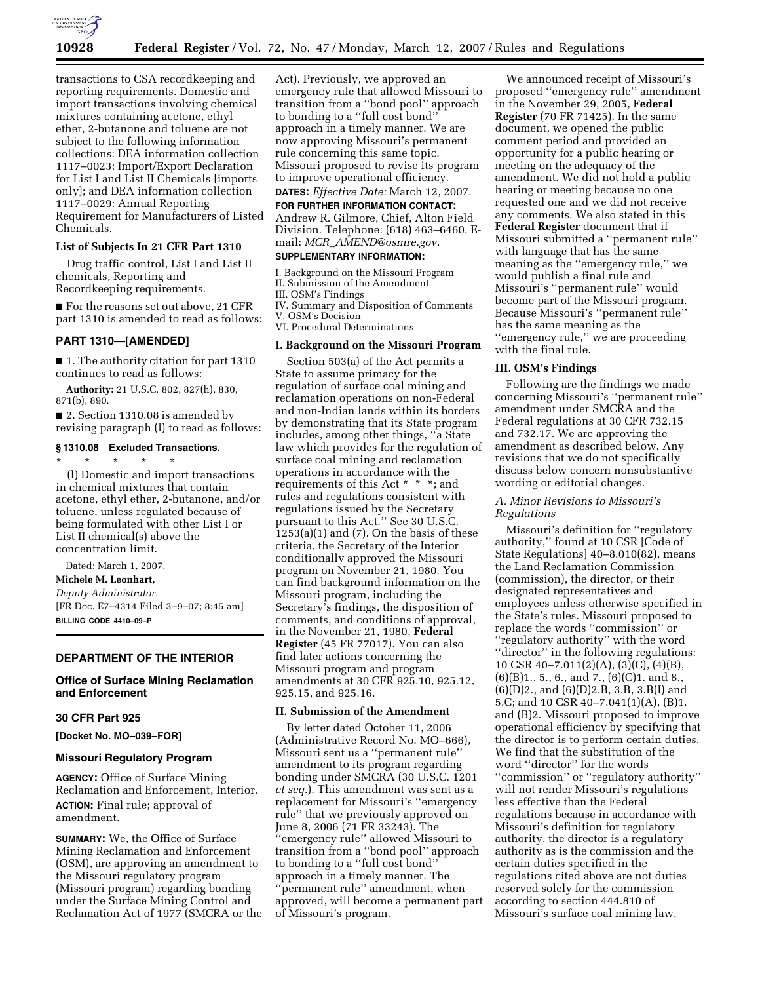

transactions to CSA recordkeeping and reporting requirements. Domestic and import transactions involving chemical mixtures containing acetone, ethyl ether, 2-butanone and toluene are not subject to the following information collections: DEA information collection 1117–0023: Import/Export Declaration for List I and List II Chemicals [imports only]; and DEA information collection 1117–0029: Annual Reporting Requirement for Manufacturers of Listed Chemicals.

## **List of Subjects In 21 CFR Part 1310**

Drug traffic control, List I and List II chemicals, Reporting and Recordkeeping requirements.

■ For the reasons set out above, 21 CFR part 1310 is amended to read as follows:

#### **PART 1310—[AMENDED]**

■ 1. The authority citation for part 1310 continues to read as follows:

**Authority:** 21 U.S.C. 802, 827(h), 830, 871(b), 890.

■ 2. Section 1310.08 is amended by revising paragraph (l) to read as follows:

#### **§ 1310.08 Excluded Transactions.**

\* \* \* \* \* (l) Domestic and import transactions in chemical mixtures that contain acetone, ethyl ether, 2-butanone, and/or toluene, unless regulated because of being formulated with other List I or List II chemical(s) above the concentration limit.

Dated: March 1, 2007.

**Michele M. Leonhart,**  *Deputy Administrator.*  [FR Doc. E7–4314 Filed 3–9–07; 8:45 am] **BILLING CODE 4410–09–P** 

#### **DEPARTMENT OF THE INTERIOR**

## **Office of Surface Mining Reclamation and Enforcement**

### **30 CFR Part 925**

**[Docket No. MO–039–FOR]** 

## **Missouri Regulatory Program**

**AGENCY:** Office of Surface Mining Reclamation and Enforcement, Interior. **ACTION:** Final rule; approval of amendment.

**SUMMARY:** We, the Office of Surface Mining Reclamation and Enforcement (OSM), are approving an amendment to the Missouri regulatory program (Missouri program) regarding bonding under the Surface Mining Control and Reclamation Act of 1977 (SMCRA or the

Act). Previously, we approved an emergency rule that allowed Missouri to transition from a ''bond pool'' approach to bonding to a ''full cost bond'' approach in a timely manner. We are now approving Missouri's permanent rule concerning this same topic. Missouri proposed to revise its program to improve operational efficiency.

## **DATES:** *Effective Date:* March 12, 2007.

**FOR FURTHER INFORMATION CONTACT:**  Andrew R. Gilmore, Chief, Alton Field Division. Telephone: (618) 463–6460. Email: *MCR*\_*AMEND@osmre.gov*.

## **SUPPLEMENTARY INFORMATION:**

I. Background on the Missouri Program II. Submission of the Amendment III. OSM's Findings IV. Summary and Disposition of Comments

V. OSM's Decision

VI. Procedural Determinations

### **I. Background on the Missouri Program**

Section 503(a) of the Act permits a State to assume primacy for the regulation of surface coal mining and reclamation operations on non-Federal and non-Indian lands within its borders by demonstrating that its State program includes, among other things, ''a State law which provides for the regulation of surface coal mining and reclamation operations in accordance with the requirements of this Act \* \* \*; and rules and regulations consistent with regulations issued by the Secretary pursuant to this Act.'' See 30 U.S.C.  $1253(a)(1)$  and  $(7)$ . On the basis of these criteria, the Secretary of the Interior conditionally approved the Missouri program on November 21, 1980. You can find background information on the Missouri program, including the Secretary's findings, the disposition of comments, and conditions of approval, in the November 21, 1980, **Federal Register** (45 FR 77017). You can also find later actions concerning the Missouri program and program amendments at 30 CFR 925.10, 925.12, 925.15, and 925.16.

### **II. Submission of the Amendment**

By letter dated October 11, 2006 (Administrative Record No. MO–666), Missouri sent us a ''permanent rule'' amendment to its program regarding bonding under SMCRA (30 U.S.C. 1201 *et seq.*). This amendment was sent as a replacement for Missouri's ''emergency rule'' that we previously approved on June 8, 2006 (71 FR 33243). The 'emergency rule" allowed Missouri to transition from a ''bond pool'' approach to bonding to a ''full cost bond'' approach in a timely manner. The ''permanent rule'' amendment, when approved, will become a permanent part of Missouri's program.

We announced receipt of Missouri's proposed ''emergency rule'' amendment in the November 29, 2005, **Federal Register** (70 FR 71425). In the same document, we opened the public comment period and provided an opportunity for a public hearing or meeting on the adequacy of the amendment. We did not hold a public hearing or meeting because no one requested one and we did not receive any comments. We also stated in this **Federal Register** document that if Missouri submitted a ''permanent rule'' with language that has the same meaning as the ''emergency rule,'' we would publish a final rule and Missouri's ''permanent rule'' would become part of the Missouri program. Because Missouri's ''permanent rule'' has the same meaning as the ''emergency rule,'' we are proceeding with the final rule.

#### **III. OSM's Findings**

Following are the findings we made concerning Missouri's ''permanent rule'' amendment under SMCRA and the Federal regulations at 30 CFR 732.15 and 732.17. We are approving the amendment as described below. Any revisions that we do not specifically discuss below concern nonsubstantive wording or editorial changes.

### *A. Minor Revisions to Missouri's Regulations*

Missouri's definition for ''regulatory authority,'' found at 10 CSR [Code of State Regulations] 40–8.010(82), means the Land Reclamation Commission (commission), the director, or their designated representatives and employees unless otherwise specified in the State's rules. Missouri proposed to replace the words ''commission'' or ''regulatory authority'' with the word ''director'' in the following regulations: 10 CSR 40–7.011(2)(A), (3)(C), (4)(B), (6)(B)1., 5., 6., and 7., (6)(C)1. and 8., (6)(D)2., and (6)(D)2.B, 3.B, 3.B(I) and 5.C; and 10 CSR 40–7.041(1)(A), (B)1. and (B)2. Missouri proposed to improve operational efficiency by specifying that the director is to perform certain duties. We find that the substitution of the word ''director'' for the words ''commission'' or ''regulatory authority'' will not render Missouri's regulations less effective than the Federal regulations because in accordance with Missouri's definition for regulatory authority, the director is a regulatory authority as is the commission and the certain duties specified in the regulations cited above are not duties reserved solely for the commission according to section 444.810 of Missouri's surface coal mining law.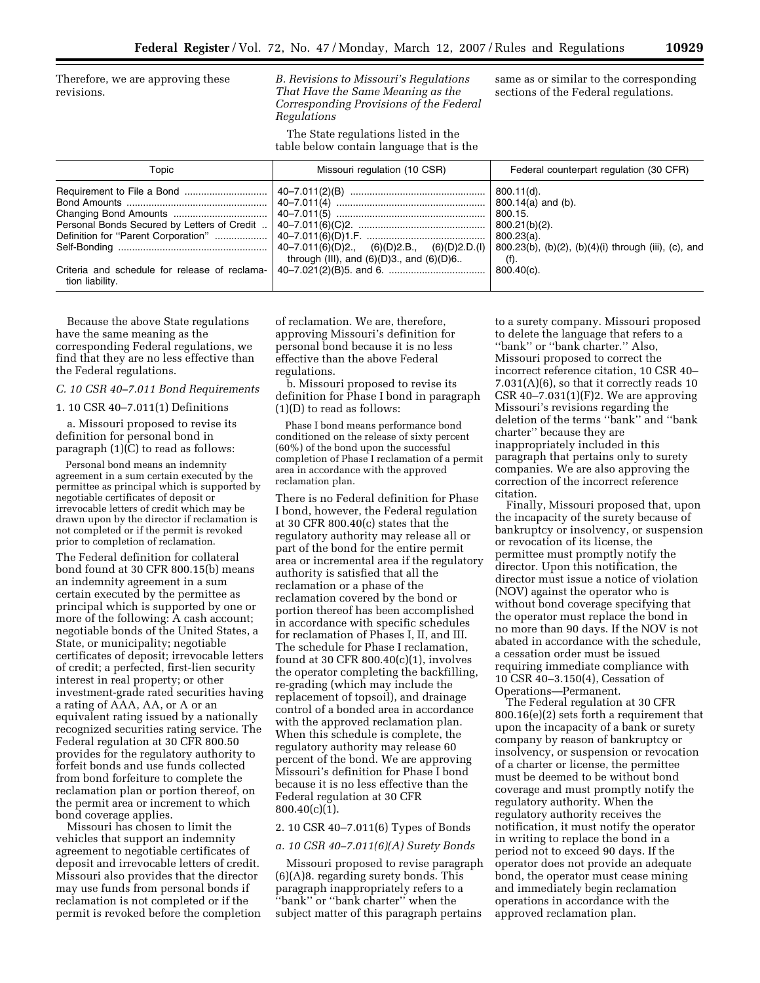Therefore, we are approving these revisions.

*B. Revisions to Missouri's Regulations That Have the Same Meaning as the Corresponding Provisions of the Federal Regulations* 

The State regulations listed in the table below contain language that is the same as or similar to the corresponding sections of the Federal regulations.

| Topic                                                            | Missouri regulation (10 CSR)                    | Federal counterpart regulation (30 CFR)                                                                                                             |  |  |
|------------------------------------------------------------------|-------------------------------------------------|-----------------------------------------------------------------------------------------------------------------------------------------------------|--|--|
|                                                                  | through (III), and $(6)(D)3$ ., and $(6)(D)6$ . | $800.11(d)$ .<br>800.14(a) and (b).<br>800.15.<br>$800.21(b)(2)$ .<br>800.23(a).<br>800.23(b), (b)(2), (b)(4)(i) through (iii), (c), and<br>$(t)$ . |  |  |
| Criteria and schedule for release of reclama-<br>tion liability. |                                                 | $800.40(c)$ .                                                                                                                                       |  |  |

Because the above State regulations have the same meaning as the corresponding Federal regulations, we find that they are no less effective than the Federal regulations.

*C. 10 CSR 40–7.011 Bond Requirements* 

1. 10 CSR 40–7.011(1) Definitions

a. Missouri proposed to revise its definition for personal bond in paragraph  $(1)(C)$  to read as follows:

Personal bond means an indemnity agreement in a sum certain executed by the permittee as principal which is supported by negotiable certificates of deposit or irrevocable letters of credit which may be drawn upon by the director if reclamation is not completed or if the permit is revoked prior to completion of reclamation.

The Federal definition for collateral bond found at 30 CFR 800.15(b) means an indemnity agreement in a sum certain executed by the permittee as principal which is supported by one or more of the following: A cash account; negotiable bonds of the United States, a State, or municipality; negotiable certificates of deposit; irrevocable letters of credit; a perfected, first-lien security interest in real property; or other investment-grade rated securities having a rating of AAA, AA, or A or an equivalent rating issued by a nationally recognized securities rating service. The Federal regulation at 30 CFR 800.50 provides for the regulatory authority to forfeit bonds and use funds collected from bond forfeiture to complete the reclamation plan or portion thereof, on the permit area or increment to which bond coverage applies.

Missouri has chosen to limit the vehicles that support an indemnity agreement to negotiable certificates of deposit and irrevocable letters of credit. Missouri also provides that the director may use funds from personal bonds if reclamation is not completed or if the permit is revoked before the completion

of reclamation. We are, therefore, approving Missouri's definition for personal bond because it is no less effective than the above Federal regulations.

b. Missouri proposed to revise its definition for Phase I bond in paragraph (1)(D) to read as follows:

Phase I bond means performance bond conditioned on the release of sixty percent (60%) of the bond upon the successful completion of Phase I reclamation of a permit area in accordance with the approved reclamation plan.

There is no Federal definition for Phase I bond, however, the Federal regulation at 30 CFR 800.40(c) states that the regulatory authority may release all or part of the bond for the entire permit area or incremental area if the regulatory authority is satisfied that all the reclamation or a phase of the reclamation covered by the bond or portion thereof has been accomplished in accordance with specific schedules for reclamation of Phases I, II, and III. The schedule for Phase I reclamation, found at 30 CFR 800.40(c)(1), involves the operator completing the backfilling, re-grading (which may include the replacement of topsoil), and drainage control of a bonded area in accordance with the approved reclamation plan. When this schedule is complete, the regulatory authority may release 60 percent of the bond. We are approving Missouri's definition for Phase I bond because it is no less effective than the Federal regulation at 30 CFR  $800.40(c)(1)$ .

#### 2. 10 CSR 40–7.011(6) Types of Bonds

#### *a. 10 CSR 40–7.011(6)(A) Surety Bonds*

Missouri proposed to revise paragraph (6)(A)8. regarding surety bonds. This paragraph inappropriately refers to a ''bank'' or ''bank charter'' when the subject matter of this paragraph pertains

to a surety company. Missouri proposed to delete the language that refers to a ''bank'' or ''bank charter.'' Also, Missouri proposed to correct the incorrect reference citation, 10 CSR 40– 7.031(A)(6), so that it correctly reads 10 CSR  $40-7.031(1)(F)2$ . We are approving Missouri's revisions regarding the deletion of the terms ''bank'' and ''bank charter'' because they are inappropriately included in this paragraph that pertains only to surety companies. We are also approving the correction of the incorrect reference citation.

Finally, Missouri proposed that, upon the incapacity of the surety because of bankruptcy or insolvency, or suspension or revocation of its license, the permittee must promptly notify the director. Upon this notification, the director must issue a notice of violation (NOV) against the operator who is without bond coverage specifying that the operator must replace the bond in no more than 90 days. If the NOV is not abated in accordance with the schedule, a cessation order must be issued requiring immediate compliance with 10 CSR 40–3.150(4), Cessation of Operations—Permanent.

The Federal regulation at 30 CFR 800.16(e)(2) sets forth a requirement that upon the incapacity of a bank or surety company by reason of bankruptcy or insolvency, or suspension or revocation of a charter or license, the permittee must be deemed to be without bond coverage and must promptly notify the regulatory authority. When the regulatory authority receives the notification, it must notify the operator in writing to replace the bond in a period not to exceed 90 days. If the operator does not provide an adequate bond, the operator must cease mining and immediately begin reclamation operations in accordance with the approved reclamation plan.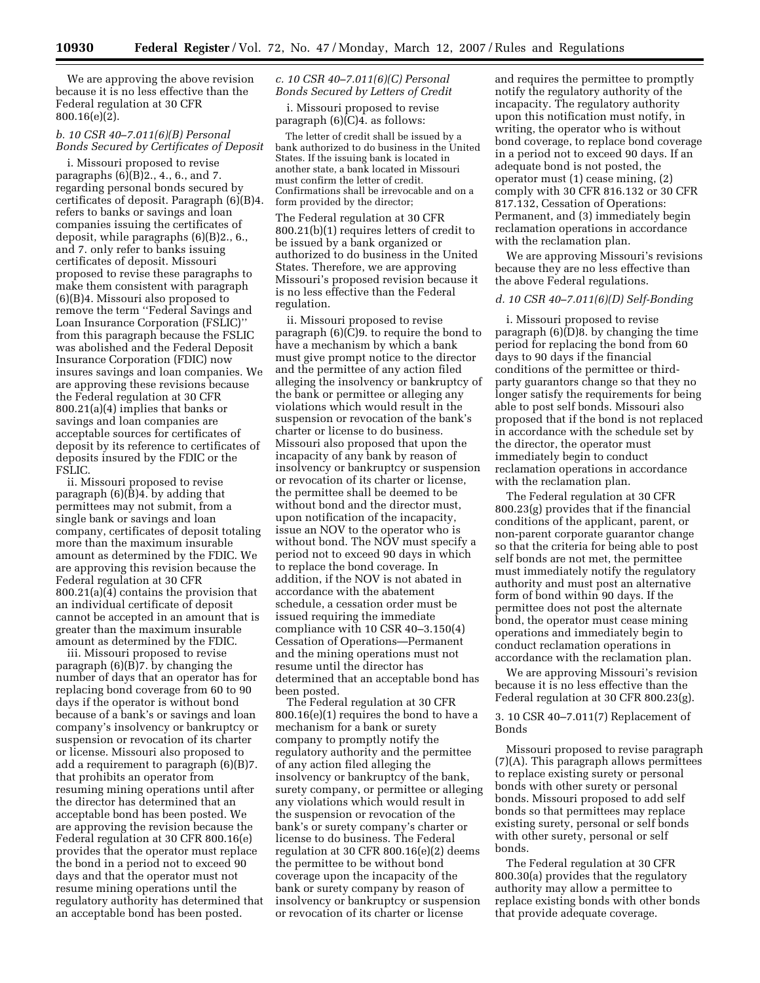We are approving the above revision because it is no less effective than the Federal regulation at 30 CFR 800.16(e)(2).

## *b. 10 CSR 40–7.011(6)(B) Personal Bonds Secured by Certificates of Deposit*

i. Missouri proposed to revise paragraphs (6)(B)2., 4., 6., and 7. regarding personal bonds secured by certificates of deposit. Paragraph (6)(B)4. refers to banks or savings and loan companies issuing the certificates of deposit, while paragraphs (6)(B)2., 6., and 7. only refer to banks issuing certificates of deposit. Missouri proposed to revise these paragraphs to make them consistent with paragraph (6)(B)4. Missouri also proposed to remove the term ''Federal Savings and Loan Insurance Corporation (FSLIC)'' from this paragraph because the FSLIC was abolished and the Federal Deposit Insurance Corporation (FDIC) now insures savings and loan companies. We are approving these revisions because the Federal regulation at 30 CFR 800.21(a)(4) implies that banks or savings and loan companies are acceptable sources for certificates of deposit by its reference to certificates of deposits insured by the FDIC or the FSLIC.

ii. Missouri proposed to revise paragraph (6)(B)4. by adding that permittees may not submit, from a single bank or savings and loan company, certificates of deposit totaling more than the maximum insurable amount as determined by the FDIC. We are approving this revision because the Federal regulation at 30 CFR 800.21(a)(4) contains the provision that an individual certificate of deposit cannot be accepted in an amount that is greater than the maximum insurable amount as determined by the FDIC.

iii. Missouri proposed to revise paragraph (6)(B)7. by changing the number of days that an operator has for replacing bond coverage from 60 to 90 days if the operator is without bond because of a bank's or savings and loan company's insolvency or bankruptcy or suspension or revocation of its charter or license. Missouri also proposed to add a requirement to paragraph (6)(B)7. that prohibits an operator from resuming mining operations until after the director has determined that an acceptable bond has been posted. We are approving the revision because the Federal regulation at 30 CFR 800.16(e) provides that the operator must replace the bond in a period not to exceed 90 days and that the operator must not resume mining operations until the regulatory authority has determined that an acceptable bond has been posted.

### *c. 10 CSR 40–7.011(6)(C) Personal Bonds Secured by Letters of Credit*

i. Missouri proposed to revise paragraph (6)(C)4. as follows:

The letter of credit shall be issued by a bank authorized to do business in the United States. If the issuing bank is located in another state, a bank located in Missouri must confirm the letter of credit. Confirmations shall be irrevocable and on a form provided by the director;

The Federal regulation at 30 CFR 800.21(b)(1) requires letters of credit to be issued by a bank organized or authorized to do business in the United States. Therefore, we are approving Missouri's proposed revision because it is no less effective than the Federal regulation.

ii. Missouri proposed to revise paragraph (6)(C)9. to require the bond to have a mechanism by which a bank must give prompt notice to the director and the permittee of any action filed alleging the insolvency or bankruptcy of the bank or permittee or alleging any violations which would result in the suspension or revocation of the bank's charter or license to do business. Missouri also proposed that upon the incapacity of any bank by reason of insolvency or bankruptcy or suspension or revocation of its charter or license, the permittee shall be deemed to be without bond and the director must, upon notification of the incapacity, issue an NOV to the operator who is without bond. The NOV must specify a period not to exceed 90 days in which to replace the bond coverage. In addition, if the NOV is not abated in accordance with the abatement schedule, a cessation order must be issued requiring the immediate compliance with 10 CSR 40–3.150(4) Cessation of Operations—Permanent and the mining operations must not resume until the director has determined that an acceptable bond has been posted.

The Federal regulation at 30 CFR 800.16(e)(1) requires the bond to have a mechanism for a bank or surety company to promptly notify the regulatory authority and the permittee of any action filed alleging the insolvency or bankruptcy of the bank, surety company, or permittee or alleging any violations which would result in the suspension or revocation of the bank's or surety company's charter or license to do business. The Federal regulation at 30 CFR 800.16(e)(2) deems the permittee to be without bond coverage upon the incapacity of the bank or surety company by reason of insolvency or bankruptcy or suspension or revocation of its charter or license

and requires the permittee to promptly notify the regulatory authority of the incapacity. The regulatory authority upon this notification must notify, in writing, the operator who is without bond coverage, to replace bond coverage in a period not to exceed 90 days. If an adequate bond is not posted, the operator must (1) cease mining, (2) comply with 30 CFR 816.132 or 30 CFR 817.132, Cessation of Operations: Permanent, and (3) immediately begin reclamation operations in accordance with the reclamation plan.

We are approving Missouri's revisions because they are no less effective than the above Federal regulations.

#### *d. 10 CSR 40–7.011(6)(D) Self-Bonding*

i. Missouri proposed to revise paragraph (6)(D)8. by changing the time period for replacing the bond from 60 days to 90 days if the financial conditions of the permittee or thirdparty guarantors change so that they no longer satisfy the requirements for being able to post self bonds. Missouri also proposed that if the bond is not replaced in accordance with the schedule set by the director, the operator must immediately begin to conduct reclamation operations in accordance with the reclamation plan.

The Federal regulation at 30 CFR 800.23(g) provides that if the financial conditions of the applicant, parent, or non-parent corporate guarantor change so that the criteria for being able to post self bonds are not met, the permittee must immediately notify the regulatory authority and must post an alternative form of bond within 90 days. If the permittee does not post the alternate bond, the operator must cease mining operations and immediately begin to conduct reclamation operations in accordance with the reclamation plan.

We are approving Missouri's revision because it is no less effective than the Federal regulation at 30 CFR 800.23(g).

### 3. 10 CSR 40–7.011(7) Replacement of Bonds

Missouri proposed to revise paragraph (7)(A). This paragraph allows permittees to replace existing surety or personal bonds with other surety or personal bonds. Missouri proposed to add self bonds so that permittees may replace existing surety, personal or self bonds with other surety, personal or self bonds.

The Federal regulation at 30 CFR 800.30(a) provides that the regulatory authority may allow a permittee to replace existing bonds with other bonds that provide adequate coverage.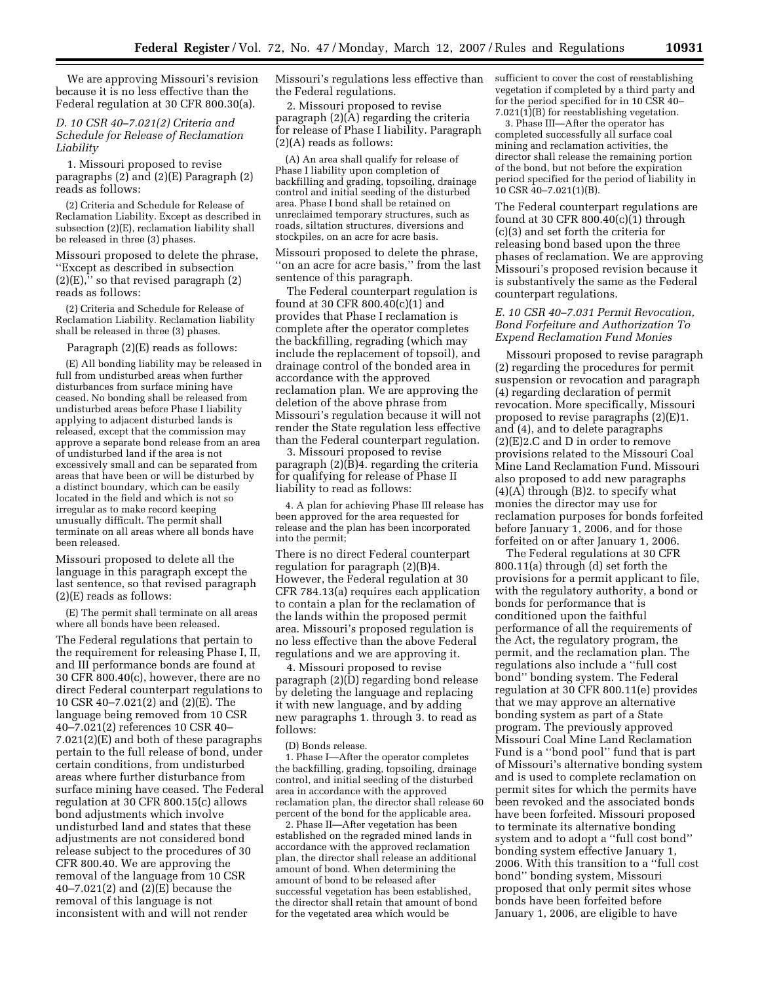We are approving Missouri's revision because it is no less effective than the Federal regulation at 30 CFR 800.30(a).

## *D. 10 CSR 40–7.021(2) Criteria and Schedule for Release of Reclamation Liability*

1. Missouri proposed to revise paragraphs (2) and (2)(E) Paragraph (2) reads as follows:

(2) Criteria and Schedule for Release of Reclamation Liability. Except as described in subsection (2)(E), reclamation liability shall be released in three (3) phases.

Missouri proposed to delete the phrase, ''Except as described in subsection  $(2)(E)$ ," so that revised paragraph  $(2)$ reads as follows:

(2) Criteria and Schedule for Release of Reclamation Liability. Reclamation liability shall be released in three (3) phases.

Paragraph (2)(E) reads as follows:

(E) All bonding liability may be released in full from undisturbed areas when further disturbances from surface mining have ceased. No bonding shall be released from undisturbed areas before Phase I liability applying to adjacent disturbed lands is released, except that the commission may approve a separate bond release from an area of undisturbed land if the area is not excessively small and can be separated from areas that have been or will be disturbed by a distinct boundary, which can be easily located in the field and which is not so irregular as to make record keeping unusually difficult. The permit shall terminate on all areas where all bonds have been released.

Missouri proposed to delete all the language in this paragraph except the last sentence, so that revised paragraph (2)(E) reads as follows:

(E) The permit shall terminate on all areas where all bonds have been released.

The Federal regulations that pertain to the requirement for releasing Phase I, II, and III performance bonds are found at 30 CFR 800.40(c), however, there are no direct Federal counterpart regulations to 10 CSR 40–7.021(2) and (2)(E). The language being removed from 10 CSR 40–7.021(2) references 10 CSR 40– 7.021(2)(E) and both of these paragraphs pertain to the full release of bond, under certain conditions, from undisturbed areas where further disturbance from surface mining have ceased. The Federal regulation at 30 CFR 800.15(c) allows bond adjustments which involve undisturbed land and states that these adjustments are not considered bond release subject to the procedures of 30 CFR 800.40. We are approving the removal of the language from 10 CSR 40–7.021(2) and  $(2)$ (E) because the removal of this language is not inconsistent with and will not render

Missouri's regulations less effective than the Federal regulations.

2. Missouri proposed to revise paragraph (2)(A) regarding the criteria for release of Phase I liability. Paragraph (2)(A) reads as follows:

(A) An area shall qualify for release of Phase I liability upon completion of backfilling and grading, topsoiling, drainage control and initial seeding of the disturbed area. Phase I bond shall be retained on unreclaimed temporary structures, such as roads, siltation structures, diversions and stockpiles, on an acre for acre basis.

Missouri proposed to delete the phrase, ''on an acre for acre basis,'' from the last sentence of this paragraph.

The Federal counterpart regulation is found at 30 CFR 800.40(c)(1) and provides that Phase I reclamation is complete after the operator completes the backfilling, regrading (which may include the replacement of topsoil), and drainage control of the bonded area in accordance with the approved reclamation plan. We are approving the deletion of the above phrase from Missouri's regulation because it will not render the State regulation less effective than the Federal counterpart regulation.

3. Missouri proposed to revise paragraph (2)(B)4. regarding the criteria for qualifying for release of Phase II liability to read as follows:

4. A plan for achieving Phase III release has been approved for the area requested for release and the plan has been incorporated into the permit;

There is no direct Federal counterpart regulation for paragraph (2)(B)4. However, the Federal regulation at 30 CFR 784.13(a) requires each application to contain a plan for the reclamation of the lands within the proposed permit area. Missouri's proposed regulation is no less effective than the above Federal regulations and we are approving it.

4. Missouri proposed to revise paragraph (2)(D) regarding bond release by deleting the language and replacing it with new language, and by adding new paragraphs 1. through 3. to read as follows:

(D) Bonds release.

1. Phase I—After the operator completes the backfilling, grading, topsoiling, drainage control, and initial seeding of the disturbed area in accordance with the approved reclamation plan, the director shall release 60 percent of the bond for the applicable area.

2. Phase II—After vegetation has been established on the regraded mined lands in accordance with the approved reclamation plan, the director shall release an additional amount of bond. When determining the amount of bond to be released after successful vegetation has been established, the director shall retain that amount of bond for the vegetated area which would be

sufficient to cover the cost of reestablishing vegetation if completed by a third party and for the period specified for in 10 CSR 40– 7.021(1)(B) for reestablishing vegetation.

3. Phase III—After the operator has completed successfully all surface coal mining and reclamation activities, the director shall release the remaining portion of the bond, but not before the expiration period specified for the period of liability in 10 CSR 40–7.021(1)(B).

The Federal counterpart regulations are found at 30 CFR 800.40(c)(1) through (c)(3) and set forth the criteria for releasing bond based upon the three phases of reclamation. We are approving Missouri's proposed revision because it is substantively the same as the Federal counterpart regulations.

## *E. 10 CSR 40–7.031 Permit Revocation, Bond Forfeiture and Authorization To Expend Reclamation Fund Monies*

Missouri proposed to revise paragraph (2) regarding the procedures for permit suspension or revocation and paragraph (4) regarding declaration of permit revocation. More specifically, Missouri proposed to revise paragraphs (2)(E)1. and (4), and to delete paragraphs (2)(E)2.C and D in order to remove provisions related to the Missouri Coal Mine Land Reclamation Fund. Missouri also proposed to add new paragraphs  $(4)(A)$  through  $(B)$ 2. to specify what monies the director may use for reclamation purposes for bonds forfeited before January 1, 2006, and for those forfeited on or after January 1, 2006.

The Federal regulations at 30 CFR 800.11(a) through (d) set forth the provisions for a permit applicant to file, with the regulatory authority, a bond or bonds for performance that is conditioned upon the faithful performance of all the requirements of the Act, the regulatory program, the permit, and the reclamation plan. The regulations also include a ''full cost bond'' bonding system. The Federal regulation at 30 CFR 800.11(e) provides that we may approve an alternative bonding system as part of a State program. The previously approved Missouri Coal Mine Land Reclamation Fund is a ''bond pool'' fund that is part of Missouri's alternative bonding system and is used to complete reclamation on permit sites for which the permits have been revoked and the associated bonds have been forfeited. Missouri proposed to terminate its alternative bonding system and to adopt a ''full cost bond'' bonding system effective January 1, 2006. With this transition to a ''full cost bond'' bonding system, Missouri proposed that only permit sites whose bonds have been forfeited before January 1, 2006, are eligible to have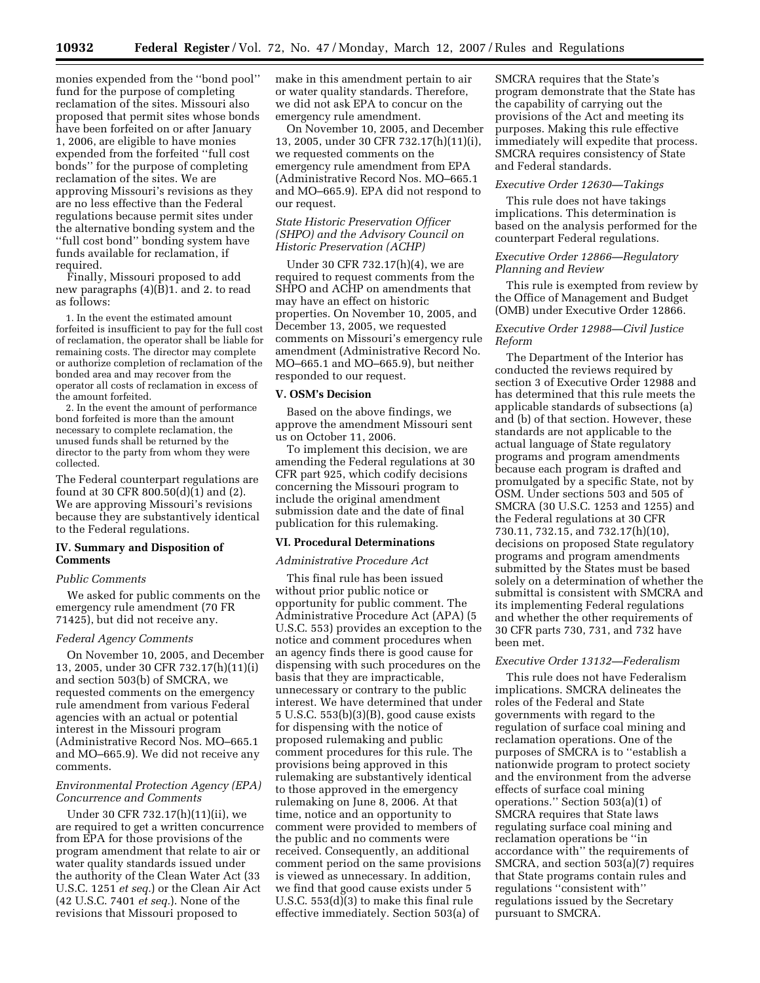monies expended from the ''bond pool'' fund for the purpose of completing reclamation of the sites. Missouri also proposed that permit sites whose bonds have been forfeited on or after January 1, 2006, are eligible to have monies expended from the forfeited ''full cost bonds'' for the purpose of completing reclamation of the sites. We are approving Missouri's revisions as they are no less effective than the Federal regulations because permit sites under the alternative bonding system and the ''full cost bond'' bonding system have funds available for reclamation, if required.

Finally, Missouri proposed to add new paragraphs (4)(B)1. and 2. to read as follows:

1. In the event the estimated amount forfeited is insufficient to pay for the full cost of reclamation, the operator shall be liable for remaining costs. The director may complete or authorize completion of reclamation of the bonded area and may recover from the operator all costs of reclamation in excess of the amount forfeited.

2. In the event the amount of performance bond forfeited is more than the amount necessary to complete reclamation, the unused funds shall be returned by the director to the party from whom they were collected.

The Federal counterpart regulations are found at 30 CFR 800.50(d)(1) and (2). We are approving Missouri's revisions because they are substantively identical to the Federal regulations.

## **IV. Summary and Disposition of Comments**

#### *Public Comments*

We asked for public comments on the emergency rule amendment (70 FR 71425), but did not receive any.

### *Federal Agency Comments*

On November 10, 2005, and December 13, 2005, under 30 CFR 732.17(h)(11)(i) and section 503(b) of SMCRA, we requested comments on the emergency rule amendment from various Federal agencies with an actual or potential interest in the Missouri program (Administrative Record Nos. MO–665.1 and MO–665.9). We did not receive any comments.

### *Environmental Protection Agency (EPA) Concurrence and Comments*

Under 30 CFR 732.17(h)(11)(ii), we are required to get a written concurrence from EPA for those provisions of the program amendment that relate to air or water quality standards issued under the authority of the Clean Water Act (33 U.S.C. 1251 *et seq.*) or the Clean Air Act (42 U.S.C. 7401 *et seq.*). None of the revisions that Missouri proposed to

make in this amendment pertain to air or water quality standards. Therefore, we did not ask EPA to concur on the emergency rule amendment.

On November 10, 2005, and December 13, 2005, under 30 CFR 732.17(h)(11)(i), we requested comments on the emergency rule amendment from EPA (Administrative Record Nos. MO–665.1 and MO–665.9). EPA did not respond to our request.

### *State Historic Preservation Officer (SHPO) and the Advisory Council on Historic Preservation (ACHP)*

Under 30 CFR 732.17(h)(4), we are required to request comments from the SHPO and ACHP on amendments that may have an effect on historic properties. On November 10, 2005, and December 13, 2005, we requested comments on Missouri's emergency rule amendment (Administrative Record No. MO–665.1 and MO–665.9), but neither responded to our request.

#### **V. OSM's Decision**

Based on the above findings, we approve the amendment Missouri sent us on October 11, 2006.

To implement this decision, we are amending the Federal regulations at 30 CFR part 925, which codify decisions concerning the Missouri program to include the original amendment submission date and the date of final publication for this rulemaking.

#### **VI. Procedural Determinations**

#### *Administrative Procedure Act*

This final rule has been issued without prior public notice or opportunity for public comment. The Administrative Procedure Act (APA) (5 U.S.C. 553) provides an exception to the notice and comment procedures when an agency finds there is good cause for dispensing with such procedures on the basis that they are impracticable, unnecessary or contrary to the public interest. We have determined that under 5 U.S.C. 553(b)(3)(B), good cause exists for dispensing with the notice of proposed rulemaking and public comment procedures for this rule. The provisions being approved in this rulemaking are substantively identical to those approved in the emergency rulemaking on June 8, 2006. At that time, notice and an opportunity to comment were provided to members of the public and no comments were received. Consequently, an additional comment period on the same provisions is viewed as unnecessary. In addition, we find that good cause exists under 5 U.S.C. 553(d)(3) to make this final rule effective immediately. Section 503(a) of

SMCRA requires that the State's program demonstrate that the State has the capability of carrying out the provisions of the Act and meeting its purposes. Making this rule effective immediately will expedite that process. SMCRA requires consistency of State and Federal standards.

#### *Executive Order 12630—Takings*

This rule does not have takings implications. This determination is based on the analysis performed for the counterpart Federal regulations.

#### *Executive Order 12866—Regulatory Planning and Review*

This rule is exempted from review by the Office of Management and Budget (OMB) under Executive Order 12866.

## *Executive Order 12988—Civil Justice Reform*

The Department of the Interior has conducted the reviews required by section 3 of Executive Order 12988 and has determined that this rule meets the applicable standards of subsections (a) and (b) of that section. However, these standards are not applicable to the actual language of State regulatory programs and program amendments because each program is drafted and promulgated by a specific State, not by OSM. Under sections 503 and 505 of SMCRA (30 U.S.C. 1253 and 1255) and the Federal regulations at 30 CFR 730.11, 732.15, and 732.17(h)(10), decisions on proposed State regulatory programs and program amendments submitted by the States must be based solely on a determination of whether the submittal is consistent with SMCRA and its implementing Federal regulations and whether the other requirements of 30 CFR parts 730, 731, and 732 have been met.

### *Executive Order 13132—Federalism*

This rule does not have Federalism implications. SMCRA delineates the roles of the Federal and State governments with regard to the regulation of surface coal mining and reclamation operations. One of the purposes of SMCRA is to ''establish a nationwide program to protect society and the environment from the adverse effects of surface coal mining operations.'' Section 503(a)(1) of SMCRA requires that State laws regulating surface coal mining and reclamation operations be ''in accordance with'' the requirements of SMCRA, and section 503(a)(7) requires that State programs contain rules and regulations ''consistent with'' regulations issued by the Secretary pursuant to SMCRA.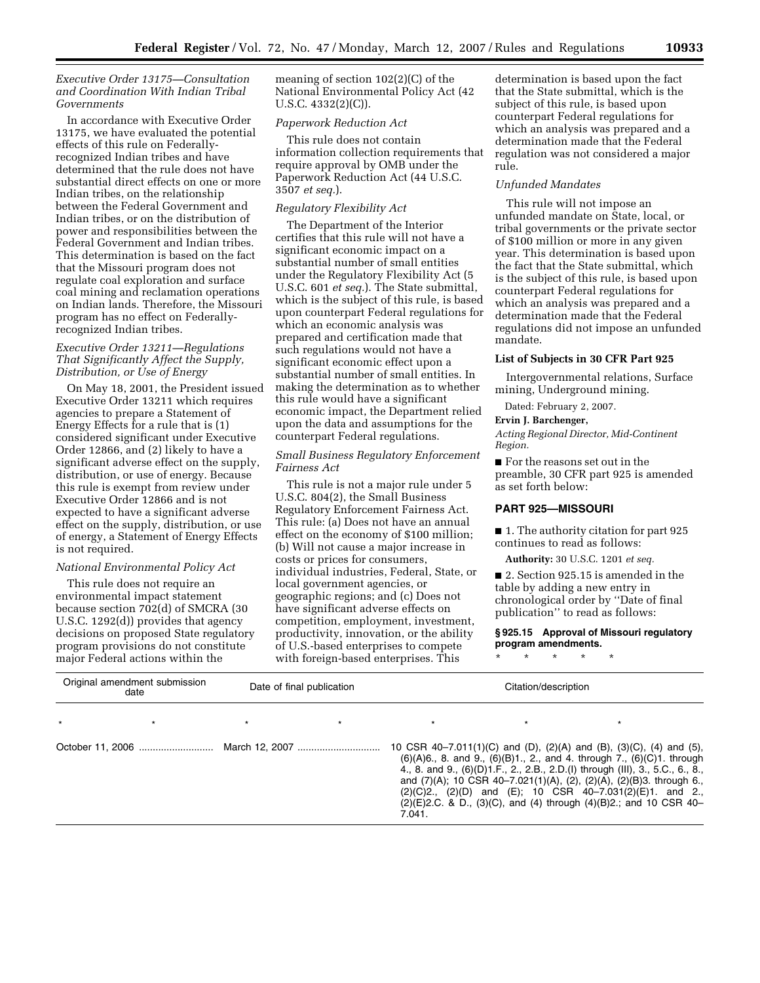## *Executive Order 13175—Consultation and Coordination With Indian Tribal Governments*

In accordance with Executive Order 13175, we have evaluated the potential effects of this rule on Federallyrecognized Indian tribes and have determined that the rule does not have substantial direct effects on one or more Indian tribes, on the relationship between the Federal Government and Indian tribes, or on the distribution of power and responsibilities between the Federal Government and Indian tribes. This determination is based on the fact that the Missouri program does not regulate coal exploration and surface coal mining and reclamation operations on Indian lands. Therefore, the Missouri program has no effect on Federallyrecognized Indian tribes.

## *Executive Order 13211—Regulations That Significantly Affect the Supply, Distribution, or Use of Energy*

On May 18, 2001, the President issued Executive Order 13211 which requires agencies to prepare a Statement of Energy Effects for a rule that is (1) considered significant under Executive Order 12866, and (2) likely to have a significant adverse effect on the supply, distribution, or use of energy. Because this rule is exempt from review under Executive Order 12866 and is not expected to have a significant adverse effect on the supply, distribution, or use of energy, a Statement of Energy Effects is not required.

## *National Environmental Policy Act*

This rule does not require an environmental impact statement because section 702(d) of SMCRA (30 U.S.C. 1292(d)) provides that agency decisions on proposed State regulatory program provisions do not constitute major Federal actions within the

meaning of section 102(2)(C) of the National Environmental Policy Act (42 U.S.C. 4332(2)(C)).

### *Paperwork Reduction Act*

This rule does not contain information collection requirements that require approval by OMB under the Paperwork Reduction Act (44 U.S.C. 3507 *et seq.*).

#### *Regulatory Flexibility Act*

The Department of the Interior certifies that this rule will not have a significant economic impact on a substantial number of small entities under the Regulatory Flexibility Act (5 U.S.C. 601 *et seq.*). The State submittal, which is the subject of this rule, is based upon counterpart Federal regulations for which an economic analysis was prepared and certification made that such regulations would not have a significant economic effect upon a substantial number of small entities. In making the determination as to whether this rule would have a significant economic impact, the Department relied upon the data and assumptions for the counterpart Federal regulations.

### *Small Business Regulatory Enforcement Fairness Act*

This rule is not a major rule under 5 U.S.C. 804(2), the Small Business Regulatory Enforcement Fairness Act. This rule: (a) Does not have an annual effect on the economy of \$100 million; (b) Will not cause a major increase in costs or prices for consumers, individual industries, Federal, State, or local government agencies, or geographic regions; and (c) Does not have significant adverse effects on competition, employment, investment, productivity, innovation, or the ability of U.S.-based enterprises to compete with foreign-based enterprises. This

determination is based upon the fact that the State submittal, which is the subject of this rule, is based upon counterpart Federal regulations for which an analysis was prepared and a determination made that the Federal regulation was not considered a major rule.

#### *Unfunded Mandates*

This rule will not impose an unfunded mandate on State, local, or tribal governments or the private sector of \$100 million or more in any given year. This determination is based upon the fact that the State submittal, which is the subject of this rule, is based upon counterpart Federal regulations for which an analysis was prepared and a determination made that the Federal regulations did not impose an unfunded mandate.

#### **List of Subjects in 30 CFR Part 925**

Intergovernmental relations, Surface mining, Underground mining.

Dated: February 2, 2007.

#### **Ervin J. Barchenger,**

*Acting Regional Director, Mid-Continent Region.* 

■ For the reasons set out in the preamble, 30 CFR part 925 is amended as set forth below:

## **PART 925—MISSOURI**

■ 1. The authority citation for part 925 continues to read as follows:

**Authority:** 30 U.S.C. 1201 *et seq.* 

■ 2. Section 925.15 is amended in the table by adding a new entry in chronological order by ''Date of final publication'' to read as follows:

### **§ 925.15 Approval of Missouri regulatory program amendments.**

\* \* \* \* \*

| Original amendment submission<br>date |         | Date of final publication |         | Citation/description |  |                                                                                                                                                                                                                                                                                                                                                                                                                                                                 |
|---------------------------------------|---------|---------------------------|---------|----------------------|--|-----------------------------------------------------------------------------------------------------------------------------------------------------------------------------------------------------------------------------------------------------------------------------------------------------------------------------------------------------------------------------------------------------------------------------------------------------------------|
|                                       | $\star$ |                           | $\star$ | $\star$              |  |                                                                                                                                                                                                                                                                                                                                                                                                                                                                 |
|                                       |         |                           |         | 7.041.               |  | 10 CSR 40–7.011(1)(C) and (D), (2)(A) and (B), (3)(C), (4) and (5),<br>$(6)(A)6.$ , 8. and 9., $(6)(B)1.$ , 2., and 4. through 7., $(6)(C)1.$ through<br>4., 8. and 9., (6)(D)1.F., 2., 2.B., 2.D.(1) through (III), 3., 5.C., 6., 8.,<br>and (7)(A); 10 CSR 40-7.021(1)(A), (2), (2)(A), (2)(B)3. through 6.,<br>$(2)(C)2., (2)(D)$ and $(E); 10$ CSR $40-7.031(2)(E)1.$ and 2.,<br>$(2)(E)2.C.$ & D., $(3)(C)$ , and $(4)$ through $(4)(B)2$ ; and 10 CSR 40- |